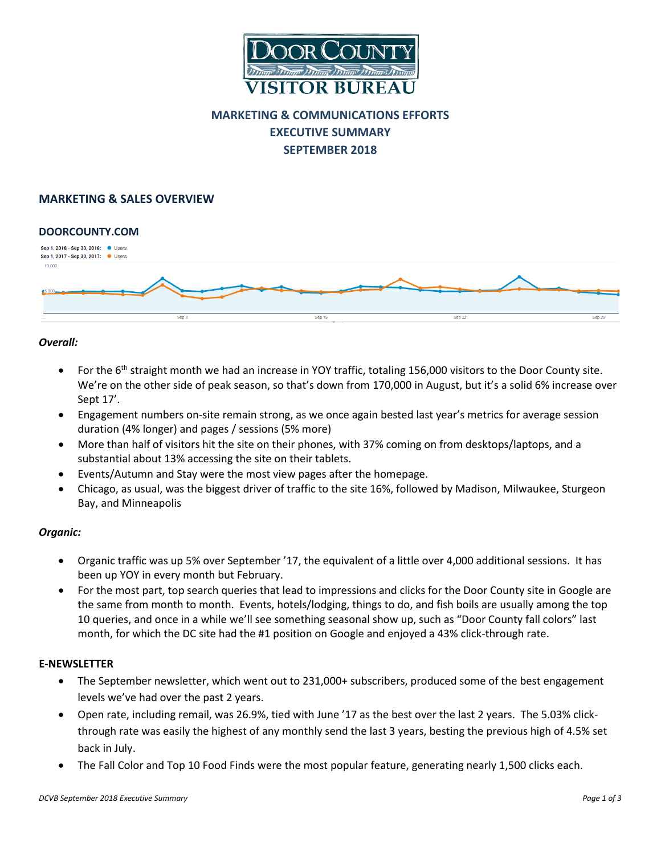

# **MARKETING & COMMUNICATIONS EFFORTS EXECUTIVE SUMMARY SEPTEMBER 2018**

## **MARKETING & SALES OVERVIEW**

#### **DOORCOUNTY.COM**



#### *Overall:*

- For the  $6<sup>th</sup>$  straight month we had an increase in YOY traffic, totaling 156,000 visitors to the Door County site. We're on the other side of peak season, so that's down from 170,000 in August, but it's a solid 6% increase over Sept 17'.
- Engagement numbers on-site remain strong, as we once again bested last year's metrics for average session duration (4% longer) and pages / sessions (5% more)
- More than half of visitors hit the site on their phones, with 37% coming on from desktops/laptops, and a substantial about 13% accessing the site on their tablets.
- Events/Autumn and Stay were the most view pages after the homepage.
- Chicago, as usual, was the biggest driver of traffic to the site 16%, followed by Madison, Milwaukee, Sturgeon Bay, and Minneapolis

### *Organic:*

- Organic traffic was up 5% over September '17, the equivalent of a little over 4,000 additional sessions. It has been up YOY in every month but February.
- For the most part, top search queries that lead to impressions and clicks for the Door County site in Google are the same from month to month. Events, hotels/lodging, things to do, and fish boils are usually among the top 10 queries, and once in a while we'll see something seasonal show up, such as "Door County fall colors" last month, for which the DC site had the #1 position on Google and enjoyed a 43% click-through rate.

#### **E-NEWSLETTER**

- The September newsletter, which went out to 231,000+ subscribers, produced some of the best engagement levels we've had over the past 2 years.
- Open rate, including remail, was 26.9%, tied with June '17 as the best over the last 2 years. The 5.03% clickthrough rate was easily the highest of any monthly send the last 3 years, besting the previous high of 4.5% set back in July.
- The Fall Color and Top 10 Food Finds were the most popular feature, generating nearly 1,500 clicks each.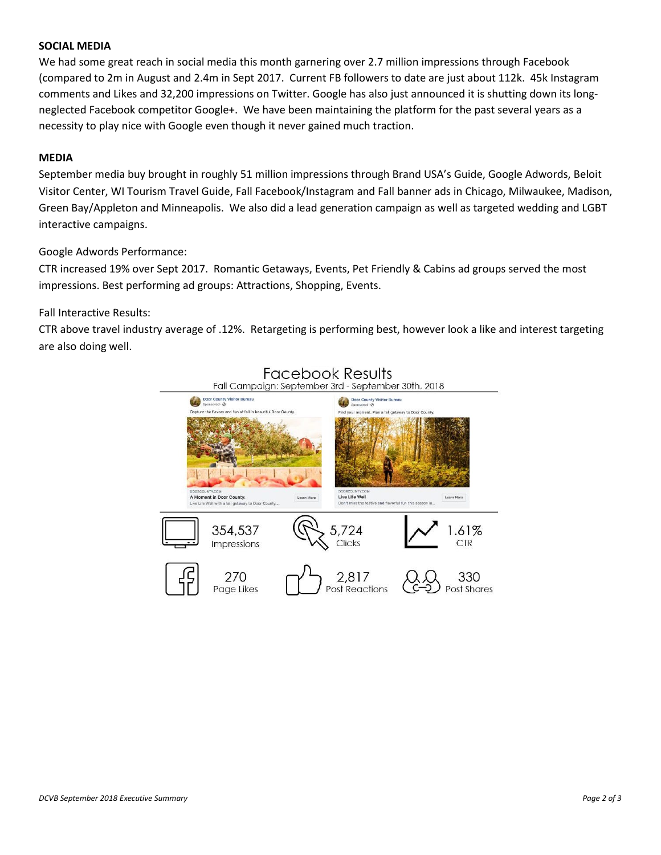#### **SOCIAL MEDIA**

We had some great reach in social media this month garnering over 2.7 million impressions through Facebook (compared to 2m in August and 2.4m in Sept 2017. Current FB followers to date are just about 112k. 45k Instagram comments and Likes and 32,200 impressions on Twitter. Google has also just announced it is shutting down its longneglected Facebook competitor Google+. We have been maintaining the platform for the past several years as a necessity to play nice with Google even though it never gained much traction.

#### **MEDIA**

September media buy brought in roughly 51 million impressions through Brand USA's Guide, Google Adwords, Beloit Visitor Center, WI Tourism Travel Guide, Fall Facebook/Instagram and Fall banner ads in Chicago, Milwaukee, Madison, Green Bay/Appleton and Minneapolis. We also did a lead generation campaign as well as targeted wedding and LGBT interactive campaigns.

#### Google Adwords Performance:

CTR increased 19% over Sept 2017. Romantic Getaways, Events, Pet Friendly & Cabins ad groups served the most impressions. Best performing ad groups: Attractions, Shopping, Events.

#### Fall Interactive Results:

CTR above travel industry average of .12%. Retargeting is performing best, however look a like and interest targeting are also doing well.